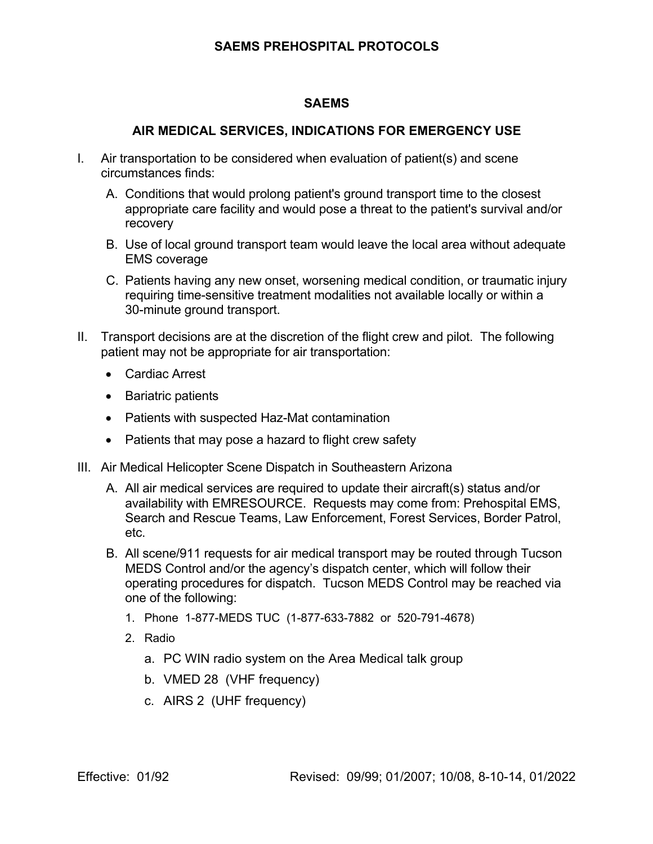## **SAEMS PREHOSPITAL PROTOCOLS**

## **SAEMS**

## **AIR MEDICAL SERVICES, INDICATIONS FOR EMERGENCY USE**

- I. Air transportation to be considered when evaluation of patient(s) and scene circumstances finds:
	- A. Conditions that would prolong patient's ground transport time to the closest appropriate care facility and would pose a threat to the patient's survival and/or recovery
	- B. Use of local ground transport team would leave the local area without adequate EMS coverage
	- C. Patients having any new onset, worsening medical condition, or traumatic injury requiring time-sensitive treatment modalities not available locally or within a 30-minute ground transport.
- II. Transport decisions are at the discretion of the flight crew and pilot. The following patient may not be appropriate for air transportation:
	- Cardiac Arrest
	- Bariatric patients
	- Patients with suspected Haz-Mat contamination
	- Patients that may pose a hazard to flight crew safety
- III. Air Medical Helicopter Scene Dispatch in Southeastern Arizona
	- A. All air medical services are required to update their aircraft(s) status and/or availability with EMRESOURCE. Requests may come from: Prehospital EMS, Search and Rescue Teams, Law Enforcement, Forest Services, Border Patrol, etc.
	- B. All scene/911 requests for air medical transport may be routed through Tucson MEDS Control and/or the agency's dispatch center, which will follow their operating procedures for dispatch. Tucson MEDS Control may be reached via one of the following:
		- 1. Phone 1-877-MEDS TUC (1-877-633-7882 or 520-791-4678)
		- 2. Radio
			- a. PC WIN radio system on the Area Medical talk group
			- b. VMED 28 (VHF frequency)
			- c. AIRS 2 (UHF frequency)